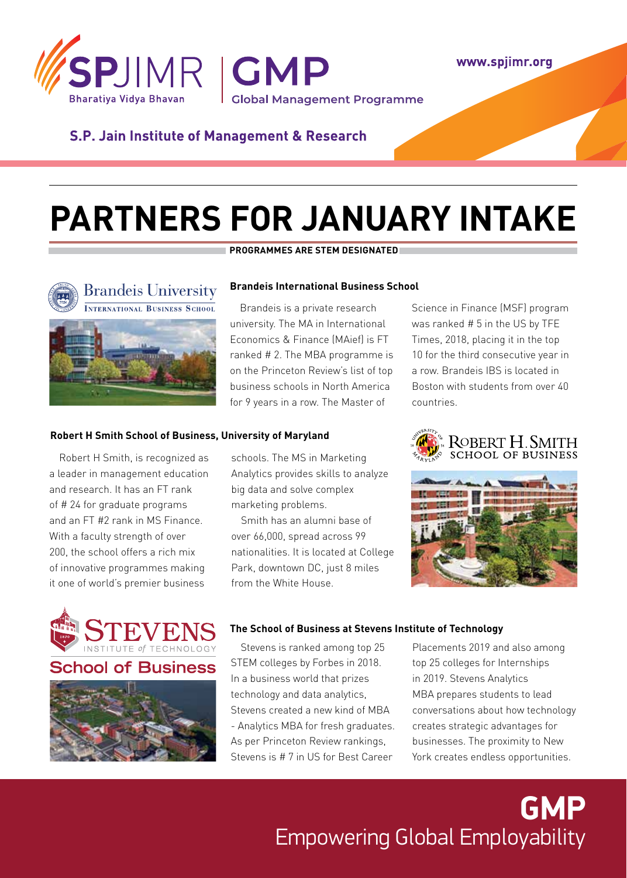

www.spjimr.org

### **S.P. Jain Institute of Management & Research**

# **Partners for january intake**



#### **programmes are stem designated**

#### **Brandeis International Business School**

Brandeis is a private research university. The MA in International Economics & Finance (MAief) is FT ranked # 2. The MBA programme is on the Princeton Review's list of top business schools in North America for 9 years in a row. The Master of

#### **Robert H Smith School of Business, University of Maryland**

Robert H Smith, is recognized as a leader in management education and research. It has an FT rank of # 24 for graduate programs and an FT #2 rank in MS Finance. With a faculty strength of over 200, the school offers a rich mix of innovative programmes making it one of world's premier business



chool of Business



schools. The MS in Marketing Analytics provides skills to analyze big data and solve complex marketing problems.

Smith has an alumni base of over 66,000, spread across 99 nationalities. It is located at College Park, downtown DC, just 8 miles from the White House.

Science in Finance (MSF) program was ranked # 5 in the US by TFE Times, 2018, placing it in the top 10 for the third consecutive year in a row. Brandeis IBS is located in Boston with students from over 40 countries.





### **The School of Business at Stevens Institute of Technology**

Stevens is ranked among top 25 STEM colleges by Forbes in 2018. In a business world that prizes technology and data analytics, Stevens created a new kind of MBA - Analytics MBA for fresh graduates. As per Princeton Review rankings, Stevens is # 7 in US for Best Career

Placements 2019 and also among top 25 colleges for Internships in 2019. Stevens Analytics MBA prepares students to lead conversations about how technology creates strategic advantages for businesses. The proximity to New York creates endless opportunities.

### **GMP** Empowering Global Employability